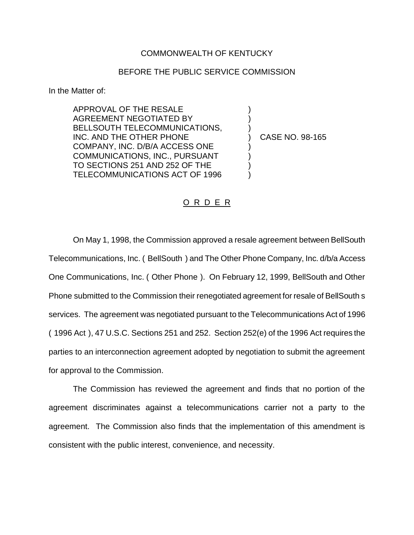## COMMONWEALTH OF KENTUCKY

## BEFORE THE PUBLIC SERVICE COMMISSION

In the Matter of:

APPROVAL OF THE RESALE AGREEMENT NEGOTIATED BY BELLSOUTH TELECOMMUNICATIONS, INC. AND THE OTHER PHONE COMPANY, INC. D/B/A ACCESS ONE COMMUNICATIONS, INC., PURSUANT TO SECTIONS 251 AND 252 OF THE TELECOMMUNICATIONS ACT OF 1996

) CASE NO. 98-165

) ) )

) ) ) )

## O R D E R

On May 1, 1998, the Commission approved a resale agreement between BellSouth Telecommunications, Inc. ( BellSouth ) and The Other Phone Company, Inc. d/b/a Access One Communications, Inc. ( Other Phone ). On February 12, 1999, BellSouth and Other Phone submitted to the Commission their renegotiated agreement for resale of BellSouth s services. The agreement was negotiated pursuant to the Telecommunications Act of 1996 ( 1996 Act ), 47 U.S.C. Sections 251 and 252. Section 252(e) of the 1996 Act requires the parties to an interconnection agreement adopted by negotiation to submit the agreement for approval to the Commission.

The Commission has reviewed the agreement and finds that no portion of the agreement discriminates against a telecommunications carrier not a party to the agreement. The Commission also finds that the implementation of this amendment is consistent with the public interest, convenience, and necessity.